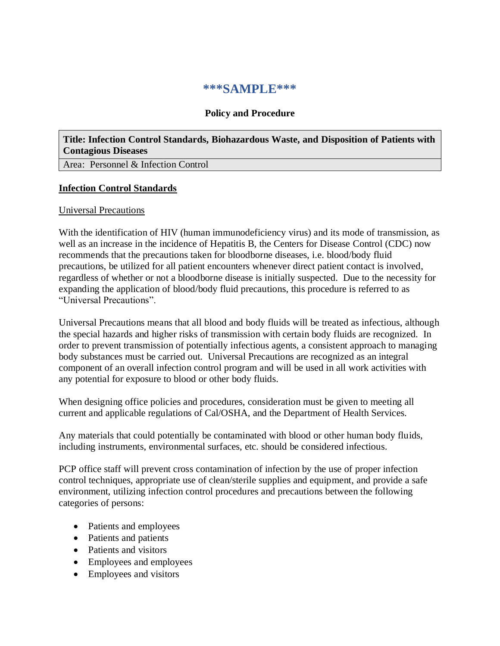# **\*\*\*SAMPLE\*\*\***

# **Policy and Procedure**

**Title: Infection Control Standards, Biohazardous Waste, and Disposition of Patients with Contagious Diseases**

Area: Personnel & Infection Control

#### **Infection Control Standards**

#### Universal Precautions

With the identification of HIV (human immunodeficiency virus) and its mode of transmission, as well as an increase in the incidence of Hepatitis B, the Centers for Disease Control (CDC) now recommends that the precautions taken for bloodborne diseases, i.e. blood/body fluid precautions, be utilized for all patient encounters whenever direct patient contact is involved, regardless of whether or not a bloodborne disease is initially suspected. Due to the necessity for expanding the application of blood/body fluid precautions, this procedure is referred to as "Universal Precautions".

Universal Precautions means that all blood and body fluids will be treated as infectious, although the special hazards and higher risks of transmission with certain body fluids are recognized. In order to prevent transmission of potentially infectious agents, a consistent approach to managing body substances must be carried out. Universal Precautions are recognized as an integral component of an overall infection control program and will be used in all work activities with any potential for exposure to blood or other body fluids.

When designing office policies and procedures, consideration must be given to meeting all current and applicable regulations of Cal/OSHA, and the Department of Health Services.

Any materials that could potentially be contaminated with blood or other human body fluids, including instruments, environmental surfaces, etc. should be considered infectious.

PCP office staff will prevent cross contamination of infection by the use of proper infection control techniques, appropriate use of clean/sterile supplies and equipment, and provide a safe environment, utilizing infection control procedures and precautions between the following categories of persons:

- Patients and employees
- Patients and patients
- Patients and visitors
- Employees and employees
- Employees and visitors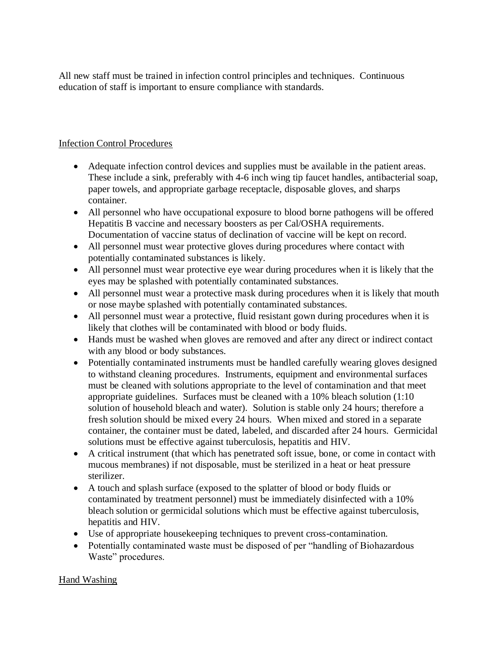All new staff must be trained in infection control principles and techniques. Continuous education of staff is important to ensure compliance with standards.

# Infection Control Procedures

- Adequate infection control devices and supplies must be available in the patient areas. These include a sink, preferably with 4-6 inch wing tip faucet handles, antibacterial soap, paper towels, and appropriate garbage receptacle, disposable gloves, and sharps container.
- All personnel who have occupational exposure to blood borne pathogens will be offered Hepatitis B vaccine and necessary boosters as per Cal/OSHA requirements. Documentation of vaccine status of declination of vaccine will be kept on record.
- All personnel must wear protective gloves during procedures where contact with potentially contaminated substances is likely.
- All personnel must wear protective eye wear during procedures when it is likely that the eyes may be splashed with potentially contaminated substances.
- All personnel must wear a protective mask during procedures when it is likely that mouth or nose maybe splashed with potentially contaminated substances.
- All personnel must wear a protective, fluid resistant gown during procedures when it is likely that clothes will be contaminated with blood or body fluids.
- Hands must be washed when gloves are removed and after any direct or indirect contact with any blood or body substances.
- Potentially contaminated instruments must be handled carefully wearing gloves designed to withstand cleaning procedures. Instruments, equipment and environmental surfaces must be cleaned with solutions appropriate to the level of contamination and that meet appropriate guidelines. Surfaces must be cleaned with a 10% bleach solution (1:10 solution of household bleach and water). Solution is stable only 24 hours; therefore a fresh solution should be mixed every 24 hours. When mixed and stored in a separate container, the container must be dated, labeled, and discarded after 24 hours. Germicidal solutions must be effective against tuberculosis, hepatitis and HIV.
- A critical instrument (that which has penetrated soft issue, bone, or come in contact with mucous membranes) if not disposable, must be sterilized in a heat or heat pressure sterilizer.
- A touch and splash surface (exposed to the splatter of blood or body fluids or contaminated by treatment personnel) must be immediately disinfected with a 10% bleach solution or germicidal solutions which must be effective against tuberculosis, hepatitis and HIV.
- Use of appropriate housekeeping techniques to prevent cross-contamination.
- Potentially contaminated waste must be disposed of per "handling of Biohazardous" Waste" procedures.

# Hand Washing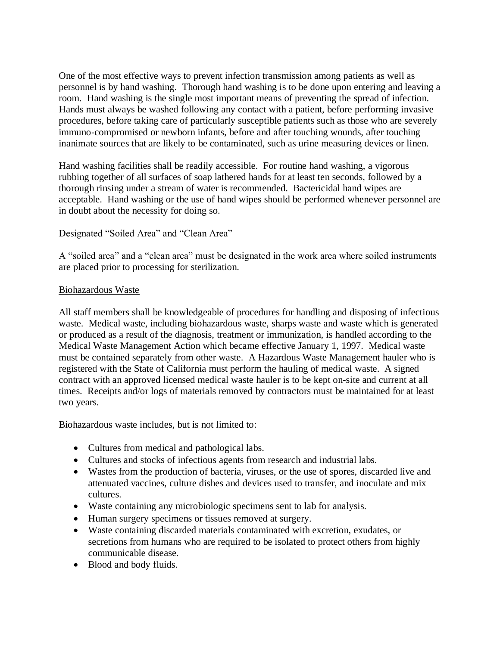One of the most effective ways to prevent infection transmission among patients as well as personnel is by hand washing. Thorough hand washing is to be done upon entering and leaving a room. Hand washing is the single most important means of preventing the spread of infection. Hands must always be washed following any contact with a patient, before performing invasive procedures, before taking care of particularly susceptible patients such as those who are severely immuno-compromised or newborn infants, before and after touching wounds, after touching inanimate sources that are likely to be contaminated, such as urine measuring devices or linen.

Hand washing facilities shall be readily accessible. For routine hand washing, a vigorous rubbing together of all surfaces of soap lathered hands for at least ten seconds, followed by a thorough rinsing under a stream of water is recommended. Bactericidal hand wipes are acceptable. Hand washing or the use of hand wipes should be performed whenever personnel are in doubt about the necessity for doing so.

## Designated "Soiled Area" and "Clean Area"

A "soiled area" and a "clean area" must be designated in the work area where soiled instruments are placed prior to processing for sterilization.

## Biohazardous Waste

All staff members shall be knowledgeable of procedures for handling and disposing of infectious waste. Medical waste, including biohazardous waste, sharps waste and waste which is generated or produced as a result of the diagnosis, treatment or immunization, is handled according to the Medical Waste Management Action which became effective January 1, 1997. Medical waste must be contained separately from other waste. A Hazardous Waste Management hauler who is registered with the State of California must perform the hauling of medical waste. A signed contract with an approved licensed medical waste hauler is to be kept on-site and current at all times. Receipts and/or logs of materials removed by contractors must be maintained for at least two years.

Biohazardous waste includes, but is not limited to:

- Cultures from medical and pathological labs.
- Cultures and stocks of infectious agents from research and industrial labs.
- Wastes from the production of bacteria, viruses, or the use of spores, discarded live and attenuated vaccines, culture dishes and devices used to transfer, and inoculate and mix cultures.
- Waste containing any microbiologic specimens sent to lab for analysis.
- Human surgery specimens or tissues removed at surgery.
- Waste containing discarded materials contaminated with excretion, exudates, or secretions from humans who are required to be isolated to protect others from highly communicable disease.
- Blood and body fluids.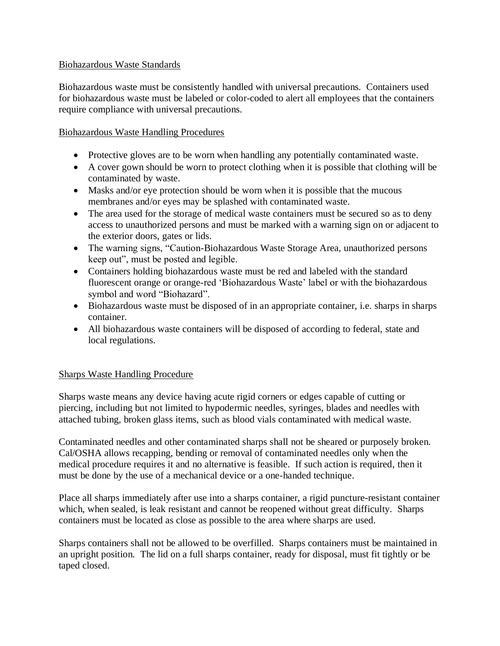# Biohazardous Waste Standards

Biohazardous waste must be consistently handled with universal precautions. Containers used for biohazardous waste must be labeled or color-coded to alert all employees that the containers require compliance with universal precautions.

# Biohazardous Waste Handling Procedures

- Protective gloves are to be worn when handling any potentially contaminated waste.
- A cover gown should be worn to protect clothing when it is possible that clothing will be contaminated by waste.
- Masks and/or eye protection should be worn when it is possible that the mucous membranes and/or eyes may be splashed with contaminated waste.
- The area used for the storage of medical waste containers must be secured so as to deny access to unauthorized persons and must be marked with a warning sign on or adjacent to the exterior doors, gates or lids.
- The warning signs, "Caution-Biohazardous Waste Storage Area, unauthorized persons keep out", must be posted and legible.
- Containers holding biohazardous waste must be red and labeled with the standard fluorescent orange or orange-red 'Biohazardous Waste' label or with the biohazardous symbol and word "Biohazard".
- Biohazardous waste must be disposed of in an appropriate container, i.e. sharps in sharps container.
- All biohazardous waste containers will be disposed of according to federal, state and local regulations.

#### Sharps Waste Handling Procedure

Sharps waste means any device having acute rigid corners or edges capable of cutting or piercing, including but not limited to hypodermic needles, syringes, blades and needles with attached tubing, broken glass items, such as blood vials contaminated with medical waste.

Contaminated needles and other contaminated sharps shall not be sheared or purposely broken. Cal/OSHA allows recapping, bending or removal of contaminated needles only when the medical procedure requires it and no alternative is feasible. If such action is required, then it must be done by the use of a mechanical device or a one-handed technique.

Place all sharps immediately after use into a sharps container, a rigid puncture-resistant container which, when sealed, is leak resistant and cannot be reopened without great difficulty. Sharps containers must be located as close as possible to the area where sharps are used.

Sharps containers shall not be allowed to be overfilled. Sharps containers must be maintained in an upright position. The lid on a full sharps container, ready for disposal, must fit tightly or be taped closed.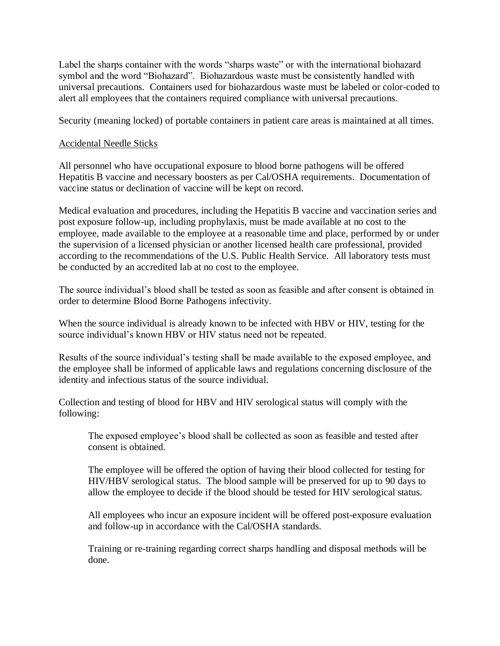Label the sharps container with the words "sharps waste" or with the international biohazard symbol and the word "Biohazard". Biohazardous waste must be consistently handled with universal precautions. Containers used for biohazardous waste must be labeled or color-coded to alert all employees that the containers required compliance with universal precautions.

Security (meaning locked) of portable containers in patient care areas is maintained at all times.

## Accidental Needle Sticks

All personnel who have occupational exposure to blood borne pathogens will be offered Hepatitis B vaccine and necessary boosters as per Cal/OSHA requirements. Documentation of vaccine status or declination of vaccine will be kept on record.

Medical evaluation and procedures, including the Hepatitis B vaccine and vaccination series and post exposure follow-up, including prophylaxis, must be made available at no cost to the employee, made available to the employee at a reasonable time and place, performed by or under the supervision of a licensed physician or another licensed health care professional, provided according to the recommendations of the U.S. Public Health Service. All laboratory tests must be conducted by an accredited lab at no cost to the employee.

The source individual's blood shall be tested as soon as feasible and after consent is obtained in order to determine Blood Borne Pathogens infectivity.

When the source individual is already known to be infected with HBV or HIV, testing for the source individual's known HBV or HIV status need not be repeated.

Results of the source individual's testing shall be made available to the exposed employee, and the employee shall be informed of applicable laws and regulations concerning disclosure of the identity and infectious status of the source individual.

Collection and testing of blood for HBV and HIV serological status will comply with the following:

The exposed employee's blood shall be collected as soon as feasible and tested after consent is obtained.

The employee will be offered the option of having their blood collected for testing for HIV/HBV serological status. The blood sample will be preserved for up to 90 days to allow the employee to decide if the blood should be tested for HIV serological status.

All employees who incur an exposure incident will be offered post-exposure evaluation and follow-up in accordance with the Cal/OSHA standards.

Training or re-training regarding correct sharps handling and disposal methods will be done.